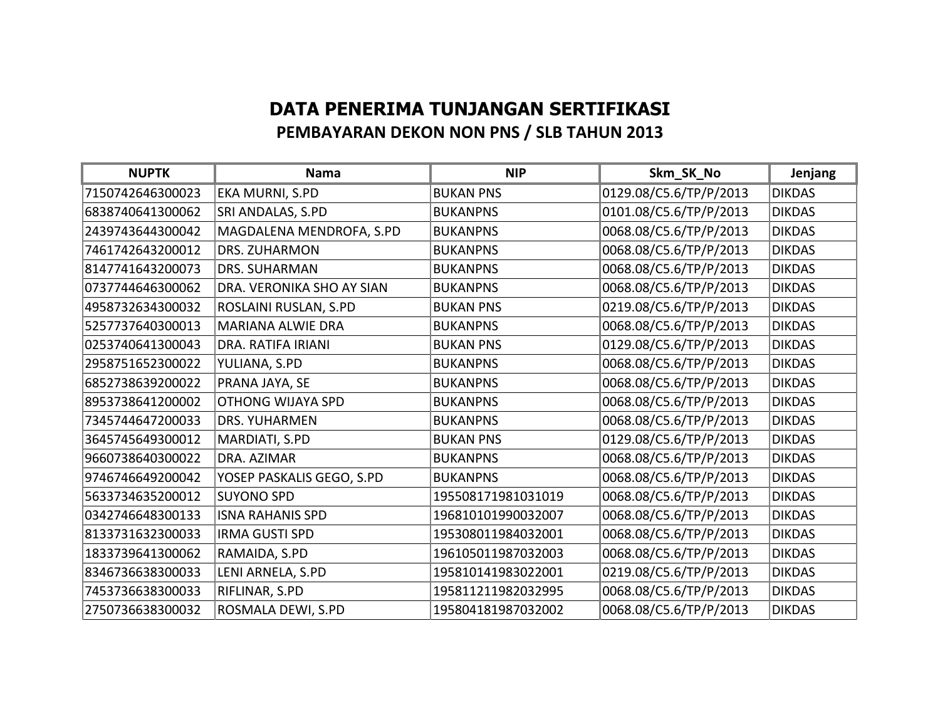## **DATA PENERIMA TUNJANGAN SERTIFIKASI PEMBAYARAN DEKON NON PNS / SLB TAHUN 2013**

| <b>NUPTK</b>     | <b>Nama</b>               | <b>NIP</b>         | Skm_SK_No              | Jenjang       |
|------------------|---------------------------|--------------------|------------------------|---------------|
| 7150742646300023 | EKA MURNI, S.PD           | <b>BUKAN PNS</b>   | 0129.08/C5.6/TP/P/2013 | <b>DIKDAS</b> |
| 6838740641300062 | SRI ANDALAS, S.PD         | <b>BUKANPNS</b>    | 0101.08/C5.6/TP/P/2013 | <b>DIKDAS</b> |
| 2439743644300042 | MAGDALENA MENDROFA, S.PD  | <b>BUKANPNS</b>    | 0068.08/C5.6/TP/P/2013 | <b>DIKDAS</b> |
| 7461742643200012 | <b>DRS. ZUHARMON</b>      | <b>BUKANPNS</b>    | 0068.08/C5.6/TP/P/2013 | <b>DIKDAS</b> |
| 8147741643200073 | <b>DRS. SUHARMAN</b>      | <b>BUKANPNS</b>    | 0068.08/C5.6/TP/P/2013 | <b>DIKDAS</b> |
| 0737744646300062 | DRA. VERONIKA SHO AY SIAN | <b>BUKANPNS</b>    | 0068.08/C5.6/TP/P/2013 | <b>DIKDAS</b> |
| 4958732634300032 | ROSLAINI RUSLAN, S.PD     | <b>BUKAN PNS</b>   | 0219.08/C5.6/TP/P/2013 | <b>DIKDAS</b> |
| 5257737640300013 | <b>MARIANA ALWIE DRA</b>  | <b>BUKANPNS</b>    | 0068.08/C5.6/TP/P/2013 | <b>DIKDAS</b> |
| 0253740641300043 | DRA. RATIFA IRIANI        | <b>BUKAN PNS</b>   | 0129.08/C5.6/TP/P/2013 | <b>DIKDAS</b> |
| 2958751652300022 | YULIANA, S.PD             | <b>BUKANPNS</b>    | 0068.08/C5.6/TP/P/2013 | <b>DIKDAS</b> |
| 6852738639200022 | PRANA JAYA, SE            | <b>BUKANPNS</b>    | 0068.08/C5.6/TP/P/2013 | <b>DIKDAS</b> |
| 8953738641200002 | <b>OTHONG WIJAYA SPD</b>  | <b>BUKANPNS</b>    | 0068.08/C5.6/TP/P/2013 | <b>DIKDAS</b> |
| 7345744647200033 | <b>DRS. YUHARMEN</b>      | <b>BUKANPNS</b>    | 0068.08/C5.6/TP/P/2013 | <b>DIKDAS</b> |
| 3645745649300012 | MARDIATI, S.PD            | <b>BUKAN PNS</b>   | 0129.08/C5.6/TP/P/2013 | <b>DIKDAS</b> |
| 9660738640300022 | DRA. AZIMAR               | <b>BUKANPNS</b>    | 0068.08/C5.6/TP/P/2013 | <b>DIKDAS</b> |
| 9746746649200042 | YOSEP PASKALIS GEGO, S.PD | <b>BUKANPNS</b>    | 0068.08/C5.6/TP/P/2013 | <b>DIKDAS</b> |
| 5633734635200012 | <b>SUYONO SPD</b>         | 195508171981031019 | 0068.08/C5.6/TP/P/2013 | <b>DIKDAS</b> |
| 0342746648300133 | <b>ISNA RAHANIS SPD</b>   | 196810101990032007 | 0068.08/C5.6/TP/P/2013 | <b>DIKDAS</b> |
| 8133731632300033 | <b>IRMA GUSTI SPD</b>     | 195308011984032001 | 0068.08/C5.6/TP/P/2013 | <b>DIKDAS</b> |
| 1833739641300062 | RAMAIDA, S.PD             | 196105011987032003 | 0068.08/C5.6/TP/P/2013 | <b>DIKDAS</b> |
| 8346736638300033 | LENI ARNELA, S.PD         | 195810141983022001 | 0219.08/C5.6/TP/P/2013 | <b>DIKDAS</b> |
| 7453736638300033 | RIFLINAR, S.PD            | 195811211982032995 | 0068.08/C5.6/TP/P/2013 | <b>DIKDAS</b> |
| 2750736638300032 | ROSMALA DEWI, S.PD        | 195804181987032002 | 0068.08/C5.6/TP/P/2013 | <b>DIKDAS</b> |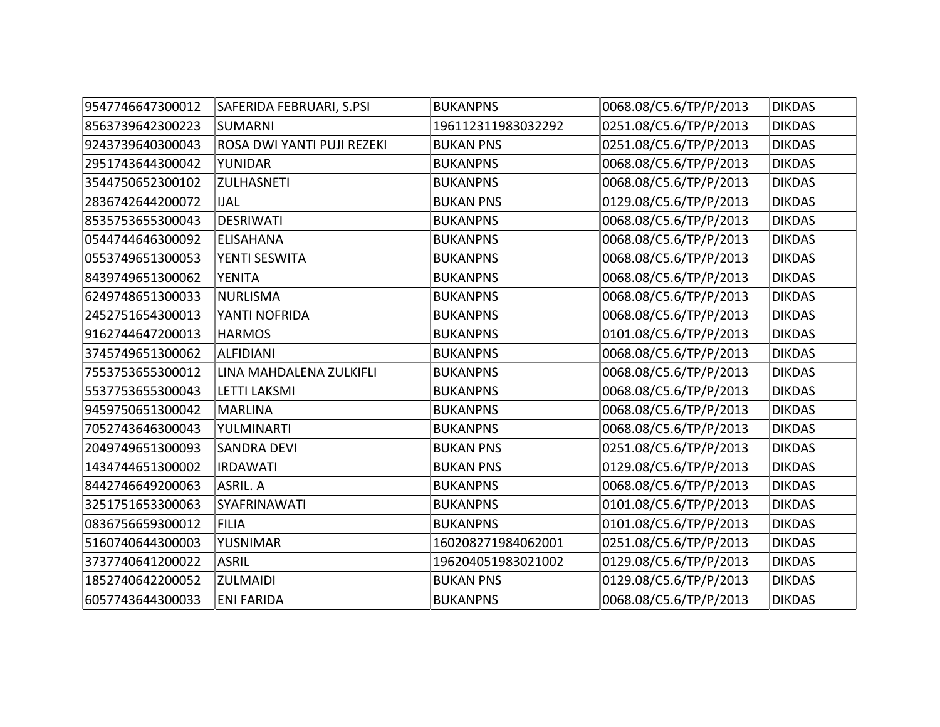| 9547746647300012 | SAFERIDA FEBRUARI, S.PSI   | <b>BUKANPNS</b>    | 0068.08/C5.6/TP/P/2013 | <b>DIKDAS</b> |
|------------------|----------------------------|--------------------|------------------------|---------------|
| 8563739642300223 | <b>SUMARNI</b>             | 196112311983032292 | 0251.08/C5.6/TP/P/2013 | <b>DIKDAS</b> |
| 9243739640300043 | ROSA DWI YANTI PUJI REZEKI | <b>BUKAN PNS</b>   | 0251.08/C5.6/TP/P/2013 | <b>DIKDAS</b> |
| 2951743644300042 | YUNIDAR                    | <b>BUKANPNS</b>    | 0068.08/C5.6/TP/P/2013 | <b>DIKDAS</b> |
| 3544750652300102 | <b>ZULHASNETI</b>          | <b>BUKANPNS</b>    | 0068.08/C5.6/TP/P/2013 | <b>DIKDAS</b> |
| 2836742644200072 | <b>IJAL</b>                | <b>BUKAN PNS</b>   | 0129.08/C5.6/TP/P/2013 | <b>DIKDAS</b> |
| 8535753655300043 | <b>DESRIWATI</b>           | <b>BUKANPNS</b>    | 0068.08/C5.6/TP/P/2013 | <b>DIKDAS</b> |
| 0544744646300092 | <b>ELISAHANA</b>           | <b>BUKANPNS</b>    | 0068.08/C5.6/TP/P/2013 | <b>DIKDAS</b> |
| 0553749651300053 | YENTI SESWITA              | <b>BUKANPNS</b>    | 0068.08/C5.6/TP/P/2013 | <b>DIKDAS</b> |
| 8439749651300062 | <b>YENITA</b>              | <b>BUKANPNS</b>    | 0068.08/C5.6/TP/P/2013 | <b>DIKDAS</b> |
| 6249748651300033 | <b>NURLISMA</b>            | <b>BUKANPNS</b>    | 0068.08/C5.6/TP/P/2013 | <b>DIKDAS</b> |
| 2452751654300013 | YANTI NOFRIDA              | <b>BUKANPNS</b>    | 0068.08/C5.6/TP/P/2013 | <b>DIKDAS</b> |
| 9162744647200013 | <b>HARMOS</b>              | <b>BUKANPNS</b>    | 0101.08/C5.6/TP/P/2013 | <b>DIKDAS</b> |
| 3745749651300062 | <b>ALFIDIANI</b>           | <b>BUKANPNS</b>    | 0068.08/C5.6/TP/P/2013 | <b>DIKDAS</b> |
| 7553753655300012 | LINA MAHDALENA ZULKIFLI    | <b>BUKANPNS</b>    | 0068.08/C5.6/TP/P/2013 | <b>DIKDAS</b> |
| 5537753655300043 | LETTI LAKSMI               | <b>BUKANPNS</b>    | 0068.08/C5.6/TP/P/2013 | <b>DIKDAS</b> |
| 9459750651300042 | <b>MARLINA</b>             | <b>BUKANPNS</b>    | 0068.08/C5.6/TP/P/2013 | <b>DIKDAS</b> |
| 7052743646300043 | YULMINARTI                 | <b>BUKANPNS</b>    | 0068.08/C5.6/TP/P/2013 | <b>DIKDAS</b> |
| 2049749651300093 | <b>SANDRA DEVI</b>         | <b>BUKAN PNS</b>   | 0251.08/C5.6/TP/P/2013 | <b>DIKDAS</b> |
| 1434744651300002 | <b>IRDAWATI</b>            | <b>BUKAN PNS</b>   | 0129.08/C5.6/TP/P/2013 | <b>DIKDAS</b> |
| 8442746649200063 | <b>ASRIL. A</b>            | <b>BUKANPNS</b>    | 0068.08/C5.6/TP/P/2013 | <b>DIKDAS</b> |
| 3251751653300063 | SYAFRINAWATI               | <b>BUKANPNS</b>    | 0101.08/C5.6/TP/P/2013 | <b>DIKDAS</b> |
| 0836756659300012 | <b>FILIA</b>               | <b>BUKANPNS</b>    | 0101.08/C5.6/TP/P/2013 | <b>DIKDAS</b> |
| 5160740644300003 | <b>YUSNIMAR</b>            | 160208271984062001 | 0251.08/C5.6/TP/P/2013 | <b>DIKDAS</b> |
| 3737740641200022 | <b>ASRIL</b>               | 196204051983021002 | 0129.08/C5.6/TP/P/2013 | <b>DIKDAS</b> |
| 1852740642200052 | <b>ZULMAIDI</b>            | <b>BUKAN PNS</b>   | 0129.08/C5.6/TP/P/2013 | <b>DIKDAS</b> |
| 6057743644300033 | <b>ENI FARIDA</b>          | <b>BUKANPNS</b>    | 0068.08/C5.6/TP/P/2013 | <b>DIKDAS</b> |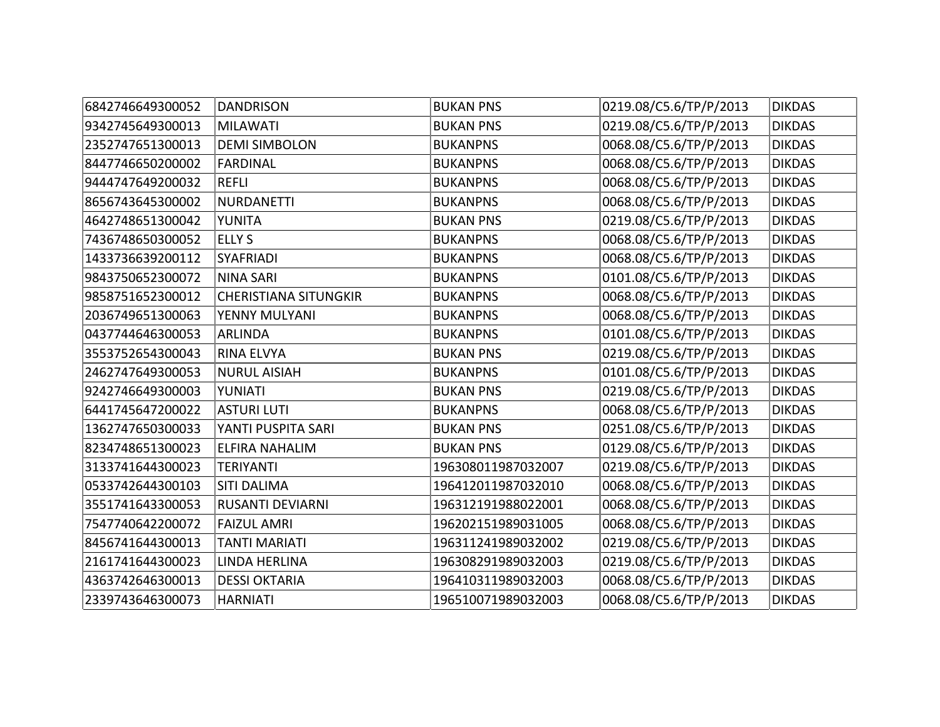| 6842746649300052 | <b>DANDRISON</b>             | <b>BUKAN PNS</b>   | 0219.08/C5.6/TP/P/2013 | <b>DIKDAS</b> |
|------------------|------------------------------|--------------------|------------------------|---------------|
| 9342745649300013 | <b>MILAWATI</b>              | <b>BUKAN PNS</b>   | 0219.08/C5.6/TP/P/2013 | <b>DIKDAS</b> |
| 2352747651300013 | <b>DEMI SIMBOLON</b>         | <b>BUKANPNS</b>    | 0068.08/C5.6/TP/P/2013 | <b>DIKDAS</b> |
| 8447746650200002 | <b>FARDINAL</b>              | <b>BUKANPNS</b>    | 0068.08/C5.6/TP/P/2013 | <b>DIKDAS</b> |
| 9444747649200032 | <b>REFLI</b>                 | <b>BUKANPNS</b>    | 0068.08/C5.6/TP/P/2013 | <b>DIKDAS</b> |
| 8656743645300002 | <b>NURDANETTI</b>            | <b>BUKANPNS</b>    | 0068.08/C5.6/TP/P/2013 | <b>DIKDAS</b> |
| 4642748651300042 | YUNITA                       | <b>BUKAN PNS</b>   | 0219.08/C5.6/TP/P/2013 | <b>DIKDAS</b> |
| 7436748650300052 | <b>ELLY S</b>                | <b>BUKANPNS</b>    | 0068.08/C5.6/TP/P/2013 | <b>DIKDAS</b> |
| 1433736639200112 | SYAFRIADI                    | <b>BUKANPNS</b>    | 0068.08/C5.6/TP/P/2013 | <b>DIKDAS</b> |
| 9843750652300072 | <b>NINA SARI</b>             | <b>BUKANPNS</b>    | 0101.08/C5.6/TP/P/2013 | <b>DIKDAS</b> |
| 9858751652300012 | <b>CHERISTIANA SITUNGKIR</b> | <b>BUKANPNS</b>    | 0068.08/C5.6/TP/P/2013 | <b>DIKDAS</b> |
| 2036749651300063 | YENNY MULYANI                | <b>BUKANPNS</b>    | 0068.08/C5.6/TP/P/2013 | <b>DIKDAS</b> |
| 0437744646300053 | <b>ARLINDA</b>               | <b>BUKANPNS</b>    | 0101.08/C5.6/TP/P/2013 | <b>DIKDAS</b> |
| 3553752654300043 | <b>RINA ELVYA</b>            | <b>BUKAN PNS</b>   | 0219.08/C5.6/TP/P/2013 | <b>DIKDAS</b> |
| 2462747649300053 | <b>NURUL AISIAH</b>          | <b>BUKANPNS</b>    | 0101.08/C5.6/TP/P/2013 | <b>DIKDAS</b> |
| 9242746649300003 | YUNIATI                      | <b>BUKAN PNS</b>   | 0219.08/C5.6/TP/P/2013 | <b>DIKDAS</b> |
| 6441745647200022 | <b>ASTURI LUTI</b>           | <b>BUKANPNS</b>    | 0068.08/C5.6/TP/P/2013 | <b>DIKDAS</b> |
| 1362747650300033 | YANTI PUSPITA SARI           | <b>BUKAN PNS</b>   | 0251.08/C5.6/TP/P/2013 | <b>DIKDAS</b> |
| 8234748651300023 | <b>ELFIRA NAHALIM</b>        | <b>BUKAN PNS</b>   | 0129.08/C5.6/TP/P/2013 | <b>DIKDAS</b> |
| 3133741644300023 | <b>TERIYANTI</b>             | 196308011987032007 | 0219.08/C5.6/TP/P/2013 | <b>DIKDAS</b> |
| 0533742644300103 | <b>SITI DALIMA</b>           | 196412011987032010 | 0068.08/C5.6/TP/P/2013 | <b>DIKDAS</b> |
| 3551741643300053 | <b>RUSANTI DEVIARNI</b>      | 196312191988022001 | 0068.08/C5.6/TP/P/2013 | <b>DIKDAS</b> |
| 7547740642200072 | <b>FAIZUL AMRI</b>           | 196202151989031005 | 0068.08/C5.6/TP/P/2013 | <b>DIKDAS</b> |
| 8456741644300013 | <b>TANTI MARIATI</b>         | 196311241989032002 | 0219.08/C5.6/TP/P/2013 | <b>DIKDAS</b> |
| 2161741644300023 | <b>LINDA HERLINA</b>         | 196308291989032003 | 0219.08/C5.6/TP/P/2013 | <b>DIKDAS</b> |
| 4363742646300013 | <b>DESSI OKTARIA</b>         | 196410311989032003 | 0068.08/C5.6/TP/P/2013 | <b>DIKDAS</b> |
| 2339743646300073 | <b>HARNIATI</b>              | 196510071989032003 | 0068.08/C5.6/TP/P/2013 | <b>DIKDAS</b> |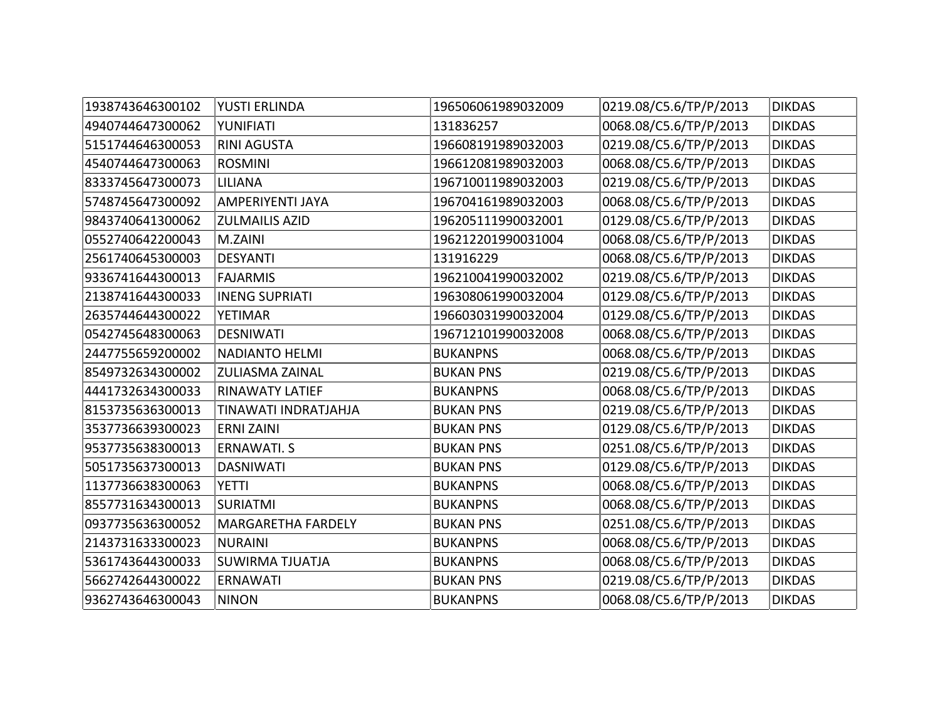| 1938743646300102 | <b>YUSTI ERLINDA</b>      | 196506061989032009 | 0219.08/C5.6/TP/P/2013 | <b>DIKDAS</b> |
|------------------|---------------------------|--------------------|------------------------|---------------|
| 4940744647300062 | YUNIFIATI                 | 131836257          | 0068.08/C5.6/TP/P/2013 | <b>DIKDAS</b> |
| 5151744646300053 | <b>RINI AGUSTA</b>        | 196608191989032003 | 0219.08/C5.6/TP/P/2013 | <b>DIKDAS</b> |
| 4540744647300063 | <b>ROSMINI</b>            | 196612081989032003 | 0068.08/C5.6/TP/P/2013 | <b>DIKDAS</b> |
| 8333745647300073 | <b>LILIANA</b>            | 196710011989032003 | 0219.08/C5.6/TP/P/2013 | <b>DIKDAS</b> |
| 5748745647300092 | AMPERIYENTI JAYA          | 196704161989032003 | 0068.08/C5.6/TP/P/2013 | <b>DIKDAS</b> |
| 9843740641300062 | <b>ZULMAILIS AZID</b>     | 196205111990032001 | 0129.08/C5.6/TP/P/2013 | <b>DIKDAS</b> |
| 0552740642200043 | M.ZAINI                   | 196212201990031004 | 0068.08/C5.6/TP/P/2013 | <b>DIKDAS</b> |
| 2561740645300003 | <b>DESYANTI</b>           | 131916229          | 0068.08/C5.6/TP/P/2013 | <b>DIKDAS</b> |
| 9336741644300013 | <b>FAJARMIS</b>           | 196210041990032002 | 0219.08/C5.6/TP/P/2013 | <b>DIKDAS</b> |
| 2138741644300033 | <b>INENG SUPRIATI</b>     | 196308061990032004 | 0129.08/C5.6/TP/P/2013 | <b>DIKDAS</b> |
| 2635744644300022 | <b>YETIMAR</b>            | 196603031990032004 | 0129.08/C5.6/TP/P/2013 | <b>DIKDAS</b> |
| 0542745648300063 | <b>DESNIWATI</b>          | 196712101990032008 | 0068.08/C5.6/TP/P/2013 | <b>DIKDAS</b> |
| 2447755659200002 | <b>NADIANTO HELMI</b>     | <b>BUKANPNS</b>    | 0068.08/C5.6/TP/P/2013 | <b>DIKDAS</b> |
| 8549732634300002 | <b>ZULIASMA ZAINAL</b>    | <b>BUKAN PNS</b>   | 0219.08/C5.6/TP/P/2013 | <b>DIKDAS</b> |
| 4441732634300033 | <b>RINAWATY LATIEF</b>    | <b>BUKANPNS</b>    | 0068.08/C5.6/TP/P/2013 | <b>DIKDAS</b> |
| 8153735636300013 | TINAWATI INDRATJAHJA      | <b>BUKAN PNS</b>   | 0219.08/C5.6/TP/P/2013 | <b>DIKDAS</b> |
| 3537736639300023 | <b>ERNI ZAINI</b>         | <b>BUKAN PNS</b>   | 0129.08/C5.6/TP/P/2013 | <b>DIKDAS</b> |
| 9537735638300013 | <b>ERNAWATI. S</b>        | <b>BUKAN PNS</b>   | 0251.08/C5.6/TP/P/2013 | <b>DIKDAS</b> |
| 5051735637300013 | <b>DASNIWATI</b>          | <b>BUKAN PNS</b>   | 0129.08/C5.6/TP/P/2013 | <b>DIKDAS</b> |
| 1137736638300063 | <b>YETTI</b>              | <b>BUKANPNS</b>    | 0068.08/C5.6/TP/P/2013 | <b>DIKDAS</b> |
| 8557731634300013 | <b>SURIATMI</b>           | <b>BUKANPNS</b>    | 0068.08/C5.6/TP/P/2013 | <b>DIKDAS</b> |
| 0937735636300052 | <b>MARGARETHA FARDELY</b> | <b>BUKAN PNS</b>   | 0251.08/C5.6/TP/P/2013 | <b>DIKDAS</b> |
| 2143731633300023 | <b>NURAINI</b>            | <b>BUKANPNS</b>    | 0068.08/C5.6/TP/P/2013 | <b>DIKDAS</b> |
| 5361743644300033 | <b>SUWIRMA TJUATJA</b>    | <b>BUKANPNS</b>    | 0068.08/C5.6/TP/P/2013 | <b>DIKDAS</b> |
| 5662742644300022 | <b>ERNAWATI</b>           | <b>BUKAN PNS</b>   | 0219.08/C5.6/TP/P/2013 | <b>DIKDAS</b> |
| 9362743646300043 | <b>NINON</b>              | <b>BUKANPNS</b>    | 0068.08/C5.6/TP/P/2013 | <b>DIKDAS</b> |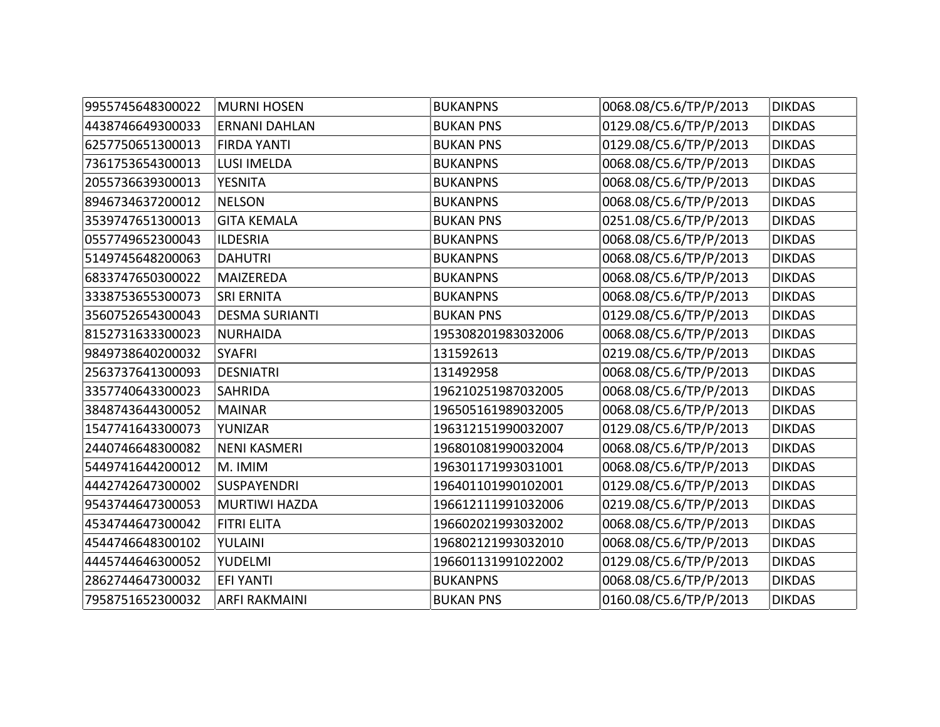| 9955745648300022 | <b>MURNI HOSEN</b>    | <b>BUKANPNS</b>    | 0068.08/C5.6/TP/P/2013 | <b>DIKDAS</b> |
|------------------|-----------------------|--------------------|------------------------|---------------|
| 4438746649300033 | <b>ERNANI DAHLAN</b>  | <b>BUKAN PNS</b>   | 0129.08/C5.6/TP/P/2013 | <b>DIKDAS</b> |
| 6257750651300013 | <b>FIRDA YANTI</b>    | <b>BUKAN PNS</b>   | 0129.08/C5.6/TP/P/2013 | <b>DIKDAS</b> |
| 7361753654300013 | <b>LUSI IMELDA</b>    | <b>BUKANPNS</b>    | 0068.08/C5.6/TP/P/2013 | <b>DIKDAS</b> |
| 2055736639300013 | <b>YESNITA</b>        | <b>BUKANPNS</b>    | 0068.08/C5.6/TP/P/2013 | <b>DIKDAS</b> |
| 8946734637200012 | <b>NELSON</b>         | <b>BUKANPNS</b>    | 0068.08/C5.6/TP/P/2013 | <b>DIKDAS</b> |
| 3539747651300013 | <b>GITA KEMALA</b>    | <b>BUKAN PNS</b>   | 0251.08/C5.6/TP/P/2013 | <b>DIKDAS</b> |
| 0557749652300043 | <b>ILDESRIA</b>       | <b>BUKANPNS</b>    | 0068.08/C5.6/TP/P/2013 | <b>DIKDAS</b> |
| 5149745648200063 | <b>DAHUTRI</b>        | <b>BUKANPNS</b>    | 0068.08/C5.6/TP/P/2013 | <b>DIKDAS</b> |
| 6833747650300022 | MAIZEREDA             | <b>BUKANPNS</b>    | 0068.08/C5.6/TP/P/2013 | <b>DIKDAS</b> |
| 3338753655300073 | <b>SRI ERNITA</b>     | <b>BUKANPNS</b>    | 0068.08/C5.6/TP/P/2013 | <b>DIKDAS</b> |
| 3560752654300043 | <b>DESMA SURIANTI</b> | <b>BUKAN PNS</b>   | 0129.08/C5.6/TP/P/2013 | <b>DIKDAS</b> |
| 8152731633300023 | <b>NURHAIDA</b>       | 195308201983032006 | 0068.08/C5.6/TP/P/2013 | <b>DIKDAS</b> |
| 9849738640200032 | <b>SYAFRI</b>         | 131592613          | 0219.08/C5.6/TP/P/2013 | <b>DIKDAS</b> |
| 2563737641300093 | <b>DESNIATRI</b>      | 131492958          | 0068.08/C5.6/TP/P/2013 | <b>DIKDAS</b> |
| 3357740643300023 | <b>SAHRIDA</b>        | 196210251987032005 | 0068.08/C5.6/TP/P/2013 | <b>DIKDAS</b> |
| 3848743644300052 | <b>MAINAR</b>         | 196505161989032005 | 0068.08/C5.6/TP/P/2013 | <b>DIKDAS</b> |
| 1547741643300073 | YUNIZAR               | 196312151990032007 | 0129.08/C5.6/TP/P/2013 | <b>DIKDAS</b> |
| 2440746648300082 | <b>NENI KASMERI</b>   | 196801081990032004 | 0068.08/C5.6/TP/P/2013 | <b>DIKDAS</b> |
| 5449741644200012 | M. IMIM               | 196301171993031001 | 0068.08/C5.6/TP/P/2013 | <b>DIKDAS</b> |
| 4442742647300002 | <b>SUSPAYENDRI</b>    | 196401101990102001 | 0129.08/C5.6/TP/P/2013 | <b>DIKDAS</b> |
| 9543744647300053 | <b>MURTIWI HAZDA</b>  | 196612111991032006 | 0219.08/C5.6/TP/P/2013 | <b>DIKDAS</b> |
| 4534744647300042 | <b>FITRI ELITA</b>    | 196602021993032002 | 0068.08/C5.6/TP/P/2013 | <b>DIKDAS</b> |
| 4544746648300102 | YULAINI               | 196802121993032010 | 0068.08/C5.6/TP/P/2013 | <b>DIKDAS</b> |
| 4445744646300052 | <b>YUDELMI</b>        | 196601131991022002 | 0129.08/C5.6/TP/P/2013 | <b>DIKDAS</b> |
| 2862744647300032 | <b>EFI YANTI</b>      | <b>BUKANPNS</b>    | 0068.08/C5.6/TP/P/2013 | <b>DIKDAS</b> |
| 7958751652300032 | <b>ARFI RAKMAINI</b>  | <b>BUKAN PNS</b>   | 0160.08/C5.6/TP/P/2013 | <b>DIKDAS</b> |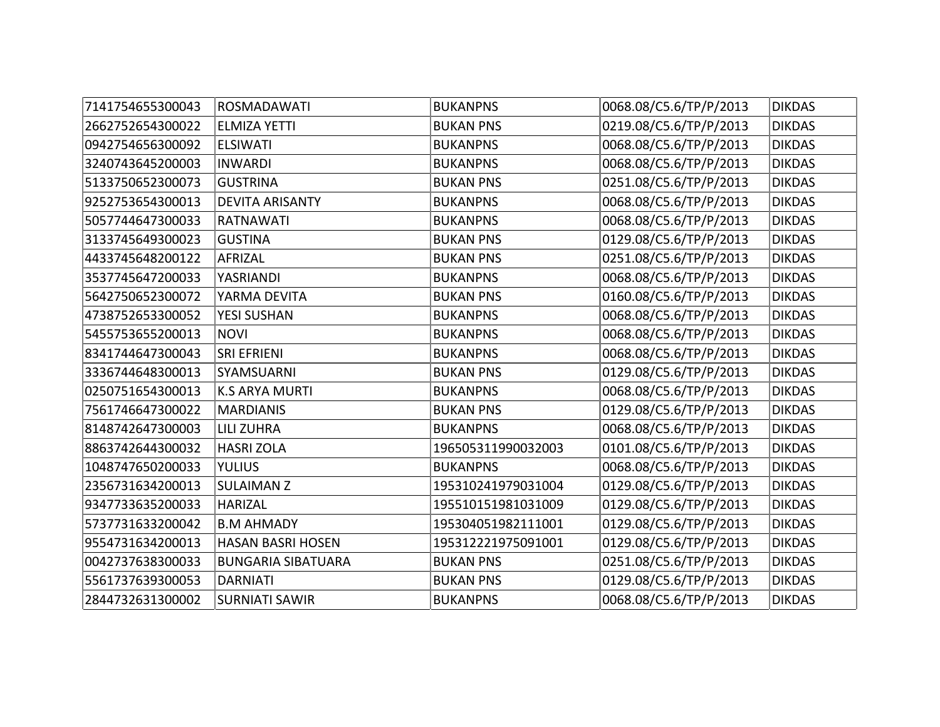| 7141754655300043 | <b>ROSMADAWATI</b>        | <b>BUKANPNS</b>    | 0068.08/C5.6/TP/P/2013 | <b>DIKDAS</b> |
|------------------|---------------------------|--------------------|------------------------|---------------|
| 2662752654300022 | <b>ELMIZA YETTI</b>       | <b>BUKAN PNS</b>   | 0219.08/C5.6/TP/P/2013 | <b>DIKDAS</b> |
| 0942754656300092 | <b>ELSIWATI</b>           | <b>BUKANPNS</b>    | 0068.08/C5.6/TP/P/2013 | <b>DIKDAS</b> |
| 3240743645200003 | <b>INWARDI</b>            | <b>BUKANPNS</b>    | 0068.08/C5.6/TP/P/2013 | <b>DIKDAS</b> |
| 5133750652300073 | <b>GUSTRINA</b>           | <b>BUKAN PNS</b>   | 0251.08/C5.6/TP/P/2013 | <b>DIKDAS</b> |
| 9252753654300013 | <b>DEVITA ARISANTY</b>    | <b>BUKANPNS</b>    | 0068.08/C5.6/TP/P/2013 | <b>DIKDAS</b> |
| 5057744647300033 | <b>RATNAWATI</b>          | <b>BUKANPNS</b>    | 0068.08/C5.6/TP/P/2013 | <b>DIKDAS</b> |
| 3133745649300023 | <b>GUSTINA</b>            | <b>BUKAN PNS</b>   | 0129.08/C5.6/TP/P/2013 | <b>DIKDAS</b> |
| 4433745648200122 | AFRIZAL                   | <b>BUKAN PNS</b>   | 0251.08/C5.6/TP/P/2013 | <b>DIKDAS</b> |
| 3537745647200033 | YASRIANDI                 | <b>BUKANPNS</b>    | 0068.08/C5.6/TP/P/2013 | <b>DIKDAS</b> |
| 5642750652300072 | YARMA DEVITA              | <b>BUKAN PNS</b>   | 0160.08/C5.6/TP/P/2013 | <b>DIKDAS</b> |
| 4738752653300052 | <b>YESI SUSHAN</b>        | <b>BUKANPNS</b>    | 0068.08/C5.6/TP/P/2013 | <b>DIKDAS</b> |
| 5455753655200013 | <b>NOVI</b>               | <b>BUKANPNS</b>    | 0068.08/C5.6/TP/P/2013 | <b>DIKDAS</b> |
| 8341744647300043 | <b>SRI EFRIENI</b>        | <b>BUKANPNS</b>    | 0068.08/C5.6/TP/P/2013 | <b>DIKDAS</b> |
| 3336744648300013 | SYAMSUARNI                | <b>BUKAN PNS</b>   | 0129.08/C5.6/TP/P/2013 | <b>DIKDAS</b> |
| 0250751654300013 | <b>K.S ARYA MURTI</b>     | <b>BUKANPNS</b>    | 0068.08/C5.6/TP/P/2013 | <b>DIKDAS</b> |
| 7561746647300022 | <b>MARDIANIS</b>          | <b>BUKAN PNS</b>   | 0129.08/C5.6/TP/P/2013 | <b>DIKDAS</b> |
| 8148742647300003 | <b>LILI ZUHRA</b>         | <b>BUKANPNS</b>    | 0068.08/C5.6/TP/P/2013 | <b>DIKDAS</b> |
| 8863742644300032 | <b>HASRI ZOLA</b>         | 196505311990032003 | 0101.08/C5.6/TP/P/2013 | <b>DIKDAS</b> |
| 1048747650200033 | <b>YULIUS</b>             | <b>BUKANPNS</b>    | 0068.08/C5.6/TP/P/2013 | <b>DIKDAS</b> |
| 2356731634200013 | <b>SULAIMAN Z</b>         | 195310241979031004 | 0129.08/C5.6/TP/P/2013 | <b>DIKDAS</b> |
| 9347733635200033 | <b>HARIZAL</b>            | 195510151981031009 | 0129.08/C5.6/TP/P/2013 | <b>DIKDAS</b> |
| 5737731633200042 | <b>B.M AHMADY</b>         | 195304051982111001 | 0129.08/C5.6/TP/P/2013 | <b>DIKDAS</b> |
| 9554731634200013 | <b>HASAN BASRI HOSEN</b>  | 195312221975091001 | 0129.08/C5.6/TP/P/2013 | <b>DIKDAS</b> |
| 0042737638300033 | <b>BUNGARIA SIBATUARA</b> | <b>BUKAN PNS</b>   | 0251.08/C5.6/TP/P/2013 | <b>DIKDAS</b> |
| 5561737639300053 | <b>DARNIATI</b>           | <b>BUKAN PNS</b>   | 0129.08/C5.6/TP/P/2013 | <b>DIKDAS</b> |
| 2844732631300002 | <b>SURNIATI SAWIR</b>     | <b>BUKANPNS</b>    | 0068.08/C5.6/TP/P/2013 | <b>DIKDAS</b> |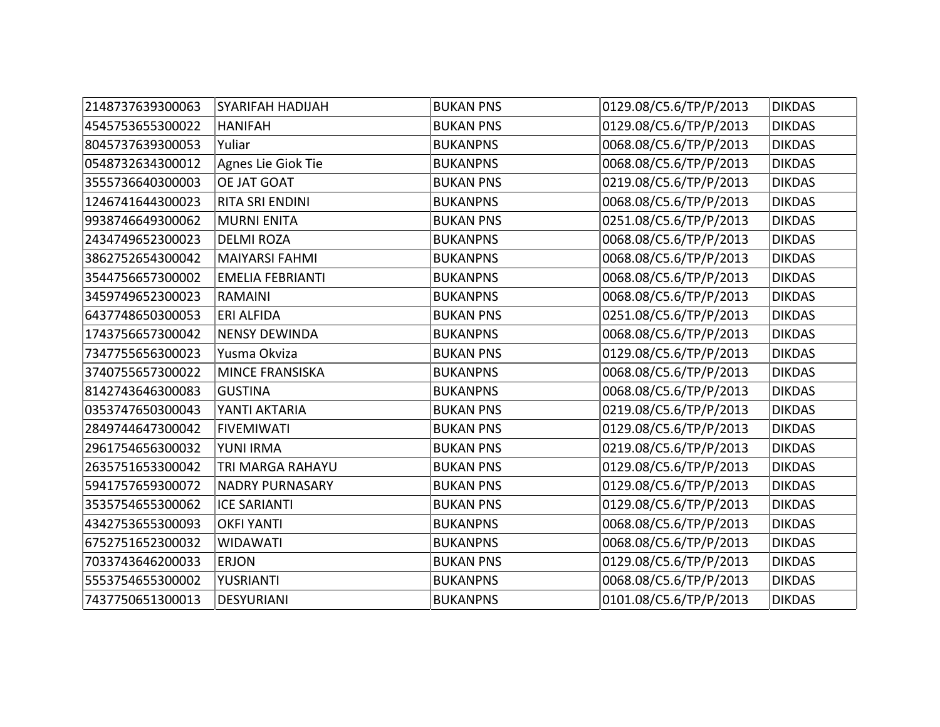| 2148737639300063 | SYARIFAH HADIJAH        | <b>BUKAN PNS</b> | 0129.08/C5.6/TP/P/2013 | <b>DIKDAS</b> |
|------------------|-------------------------|------------------|------------------------|---------------|
| 4545753655300022 | <b>HANIFAH</b>          | <b>BUKAN PNS</b> | 0129.08/C5.6/TP/P/2013 | <b>DIKDAS</b> |
| 8045737639300053 | Yuliar                  | <b>BUKANPNS</b>  | 0068.08/C5.6/TP/P/2013 | <b>DIKDAS</b> |
| 0548732634300012 | Agnes Lie Giok Tie      | <b>BUKANPNS</b>  | 0068.08/C5.6/TP/P/2013 | <b>DIKDAS</b> |
| 3555736640300003 | OE JAT GOAT             | <b>BUKAN PNS</b> | 0219.08/C5.6/TP/P/2013 | <b>DIKDAS</b> |
| 1246741644300023 | RITA SRI ENDINI         | <b>BUKANPNS</b>  | 0068.08/C5.6/TP/P/2013 | <b>DIKDAS</b> |
| 9938746649300062 | <b>MURNI ENITA</b>      | <b>BUKAN PNS</b> | 0251.08/C5.6/TP/P/2013 | <b>DIKDAS</b> |
| 2434749652300023 | <b>DELMI ROZA</b>       | <b>BUKANPNS</b>  | 0068.08/C5.6/TP/P/2013 | <b>DIKDAS</b> |
| 3862752654300042 | <b>MAIYARSI FAHMI</b>   | <b>BUKANPNS</b>  | 0068.08/C5.6/TP/P/2013 | <b>DIKDAS</b> |
| 3544756657300002 | <b>EMELIA FEBRIANTI</b> | <b>BUKANPNS</b>  | 0068.08/C5.6/TP/P/2013 | <b>DIKDAS</b> |
| 3459749652300023 | <b>RAMAINI</b>          | <b>BUKANPNS</b>  | 0068.08/C5.6/TP/P/2013 | <b>DIKDAS</b> |
| 6437748650300053 | <b>ERI ALFIDA</b>       | <b>BUKAN PNS</b> | 0251.08/C5.6/TP/P/2013 | <b>DIKDAS</b> |
| 1743756657300042 | <b>NENSY DEWINDA</b>    | <b>BUKANPNS</b>  | 0068.08/C5.6/TP/P/2013 | <b>DIKDAS</b> |
| 7347755656300023 | Yusma Okviza            | <b>BUKAN PNS</b> | 0129.08/C5.6/TP/P/2013 | <b>DIKDAS</b> |
| 3740755657300022 | <b>MINCE FRANSISKA</b>  | <b>BUKANPNS</b>  | 0068.08/C5.6/TP/P/2013 | <b>DIKDAS</b> |
| 8142743646300083 | <b>GUSTINA</b>          | <b>BUKANPNS</b>  | 0068.08/C5.6/TP/P/2013 | <b>DIKDAS</b> |
| 0353747650300043 | YANTI AKTARIA           | <b>BUKAN PNS</b> | 0219.08/C5.6/TP/P/2013 | <b>DIKDAS</b> |
| 2849744647300042 | <b>FIVEMIWATI</b>       | <b>BUKAN PNS</b> | 0129.08/C5.6/TP/P/2013 | <b>DIKDAS</b> |
| 2961754656300032 | YUNI IRMA               | <b>BUKAN PNS</b> | 0219.08/C5.6/TP/P/2013 | <b>DIKDAS</b> |
| 2635751653300042 | TRI MARGA RAHAYU        | <b>BUKAN PNS</b> | 0129.08/C5.6/TP/P/2013 | <b>DIKDAS</b> |
| 5941757659300072 | <b>NADRY PURNASARY</b>  | <b>BUKAN PNS</b> | 0129.08/C5.6/TP/P/2013 | <b>DIKDAS</b> |
| 3535754655300062 | <b>ICE SARIANTI</b>     | <b>BUKAN PNS</b> | 0129.08/C5.6/TP/P/2013 | <b>DIKDAS</b> |
| 4342753655300093 | <b>OKFI YANTI</b>       | <b>BUKANPNS</b>  | 0068.08/C5.6/TP/P/2013 | <b>DIKDAS</b> |
| 6752751652300032 | <b>WIDAWATI</b>         | <b>BUKANPNS</b>  | 0068.08/C5.6/TP/P/2013 | <b>DIKDAS</b> |
| 7033743646200033 | <b>ERJON</b>            | <b>BUKAN PNS</b> | 0129.08/C5.6/TP/P/2013 | <b>DIKDAS</b> |
| 5553754655300002 | YUSRIANTI               | <b>BUKANPNS</b>  | 0068.08/C5.6/TP/P/2013 | <b>DIKDAS</b> |
| 7437750651300013 | <b>DESYURIANI</b>       | <b>BUKANPNS</b>  | 0101.08/C5.6/TP/P/2013 | <b>DIKDAS</b> |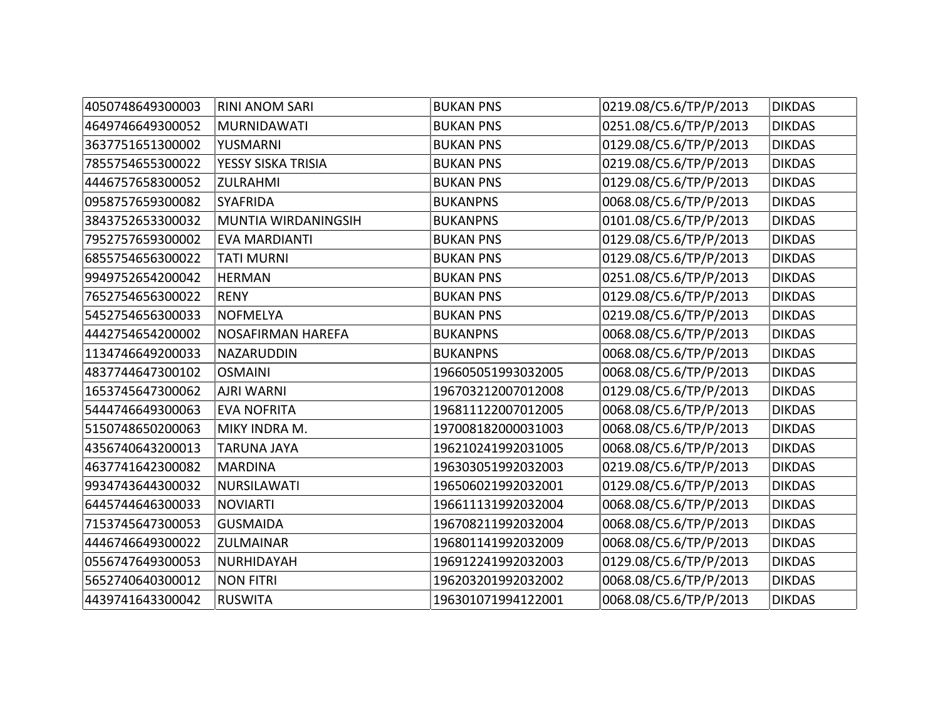| 4050748649300003 | <b>RINI ANOM SARI</b>    | <b>BUKAN PNS</b>   | 0219.08/C5.6/TP/P/2013 | <b>DIKDAS</b> |
|------------------|--------------------------|--------------------|------------------------|---------------|
| 4649746649300052 | <b>MURNIDAWATI</b>       | <b>BUKAN PNS</b>   | 0251.08/C5.6/TP/P/2013 | <b>DIKDAS</b> |
| 3637751651300002 | YUSMARNI                 | <b>BUKAN PNS</b>   | 0129.08/C5.6/TP/P/2013 | <b>DIKDAS</b> |
| 7855754655300022 | YESSY SISKA TRISIA       | <b>BUKAN PNS</b>   | 0219.08/C5.6/TP/P/2013 | <b>DIKDAS</b> |
| 4446757658300052 | <b>ZULRAHMI</b>          | <b>BUKAN PNS</b>   | 0129.08/C5.6/TP/P/2013 | <b>DIKDAS</b> |
| 0958757659300082 | <b>SYAFRIDA</b>          | <b>BUKANPNS</b>    | 0068.08/C5.6/TP/P/2013 | <b>DIKDAS</b> |
| 3843752653300032 | MUNTIA WIRDANINGSIH      | <b>BUKANPNS</b>    | 0101.08/C5.6/TP/P/2013 | <b>DIKDAS</b> |
| 7952757659300002 | <b>EVA MARDIANTI</b>     | <b>BUKAN PNS</b>   | 0129.08/C5.6/TP/P/2013 | <b>DIKDAS</b> |
| 6855754656300022 | <b>TATI MURNI</b>        | <b>BUKAN PNS</b>   | 0129.08/C5.6/TP/P/2013 | <b>DIKDAS</b> |
| 9949752654200042 | <b>HERMAN</b>            | <b>BUKAN PNS</b>   | 0251.08/C5.6/TP/P/2013 | <b>DIKDAS</b> |
| 7652754656300022 | <b>RENY</b>              | <b>BUKAN PNS</b>   | 0129.08/C5.6/TP/P/2013 | <b>DIKDAS</b> |
| 5452754656300033 | <b>NOFMELYA</b>          | <b>BUKAN PNS</b>   | 0219.08/C5.6/TP/P/2013 | <b>DIKDAS</b> |
| 4442754654200002 | <b>NOSAFIRMAN HAREFA</b> | <b>BUKANPNS</b>    | 0068.08/C5.6/TP/P/2013 | <b>DIKDAS</b> |
| 1134746649200033 | NAZARUDDIN               | <b>BUKANPNS</b>    | 0068.08/C5.6/TP/P/2013 | <b>DIKDAS</b> |
| 4837744647300102 | <b>OSMAINI</b>           | 196605051993032005 | 0068.08/C5.6/TP/P/2013 | <b>DIKDAS</b> |
| 1653745647300062 | <b>AJRI WARNI</b>        | 196703212007012008 | 0129.08/C5.6/TP/P/2013 | <b>DIKDAS</b> |
| 5444746649300063 | <b>EVA NOFRITA</b>       | 196811122007012005 | 0068.08/C5.6/TP/P/2013 | <b>DIKDAS</b> |
| 5150748650200063 | MIKY INDRA M.            | 197008182000031003 | 0068.08/C5.6/TP/P/2013 | <b>DIKDAS</b> |
| 4356740643200013 | <b>TARUNA JAYA</b>       | 196210241992031005 | 0068.08/C5.6/TP/P/2013 | <b>DIKDAS</b> |
| 4637741642300082 | <b>MARDINA</b>           | 196303051992032003 | 0219.08/C5.6/TP/P/2013 | <b>DIKDAS</b> |
| 9934743644300032 | <b>NURSILAWATI</b>       | 196506021992032001 | 0129.08/C5.6/TP/P/2013 | <b>DIKDAS</b> |
| 6445744646300033 | <b>NOVIARTI</b>          | 196611131992032004 | 0068.08/C5.6/TP/P/2013 | <b>DIKDAS</b> |
| 7153745647300053 | <b>GUSMAIDA</b>          | 196708211992032004 | 0068.08/C5.6/TP/P/2013 | <b>DIKDAS</b> |
| 4446746649300022 | <b>ZULMAINAR</b>         | 196801141992032009 | 0068.08/C5.6/TP/P/2013 | <b>DIKDAS</b> |
| 0556747649300053 | NURHIDAYAH               | 196912241992032003 | 0129.08/C5.6/TP/P/2013 | <b>DIKDAS</b> |
| 5652740640300012 | <b>NON FITRI</b>         | 196203201992032002 | 0068.08/C5.6/TP/P/2013 | <b>DIKDAS</b> |
| 4439741643300042 | <b>RUSWITA</b>           | 196301071994122001 | 0068.08/C5.6/TP/P/2013 | <b>DIKDAS</b> |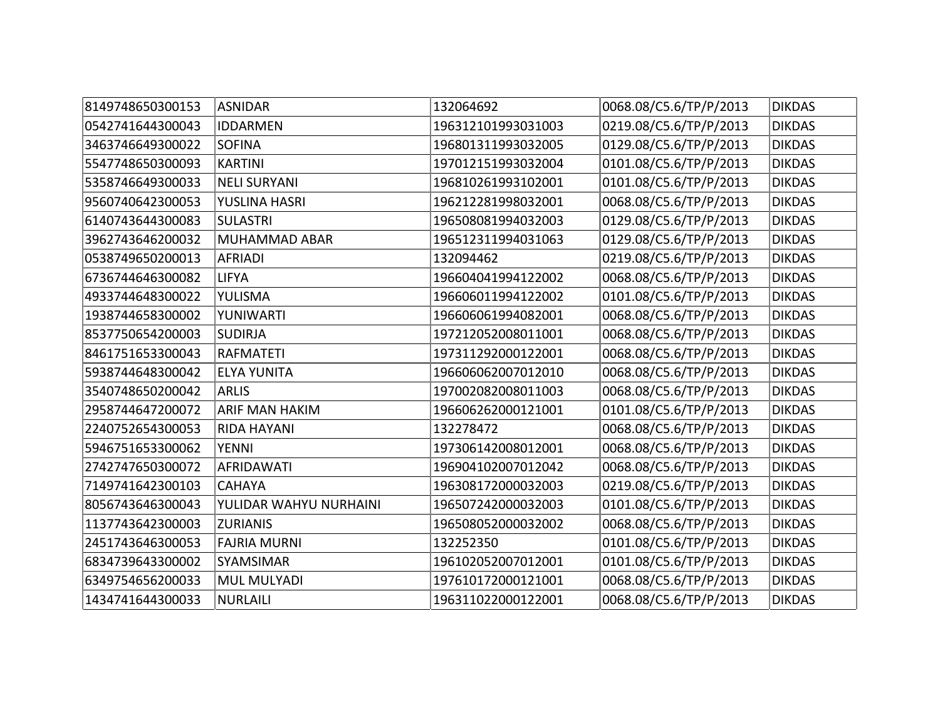| 8149748650300153 | <b>ASNIDAR</b>         | 132064692          | 0068.08/C5.6/TP/P/2013 | <b>DIKDAS</b> |
|------------------|------------------------|--------------------|------------------------|---------------|
| 0542741644300043 | <b>IDDARMEN</b>        | 196312101993031003 | 0219.08/C5.6/TP/P/2013 | <b>DIKDAS</b> |
| 3463746649300022 | <b>SOFINA</b>          | 196801311993032005 | 0129.08/C5.6/TP/P/2013 | <b>DIKDAS</b> |
| 5547748650300093 | <b>KARTINI</b>         | 197012151993032004 | 0101.08/C5.6/TP/P/2013 | <b>DIKDAS</b> |
| 5358746649300033 | <b>NELI SURYANI</b>    | 196810261993102001 | 0101.08/C5.6/TP/P/2013 | <b>DIKDAS</b> |
| 9560740642300053 | YUSLINA HASRI          | 196212281998032001 | 0068.08/C5.6/TP/P/2013 | <b>DIKDAS</b> |
| 6140743644300083 | <b>SULASTRI</b>        | 196508081994032003 | 0129.08/C5.6/TP/P/2013 | <b>DIKDAS</b> |
| 3962743646200032 | MUHAMMAD ABAR          | 196512311994031063 | 0129.08/C5.6/TP/P/2013 | <b>DIKDAS</b> |
| 0538749650200013 | <b>AFRIADI</b>         | 132094462          | 0219.08/C5.6/TP/P/2013 | <b>DIKDAS</b> |
| 6736744646300082 | <b>LIFYA</b>           | 196604041994122002 | 0068.08/C5.6/TP/P/2013 | <b>DIKDAS</b> |
| 4933744648300022 | YULISMA                | 196606011994122002 | 0101.08/C5.6/TP/P/2013 | <b>DIKDAS</b> |
| 1938744658300002 | YUNIWARTI              | 196606061994082001 | 0068.08/C5.6/TP/P/2013 | <b>DIKDAS</b> |
| 8537750654200003 | <b>SUDIRJA</b>         | 197212052008011001 | 0068.08/C5.6/TP/P/2013 | <b>DIKDAS</b> |
| 8461751653300043 | <b>RAFMATETI</b>       | 197311292000122001 | 0068.08/C5.6/TP/P/2013 | <b>DIKDAS</b> |
| 5938744648300042 | <b>ELYA YUNITA</b>     | 196606062007012010 | 0068.08/C5.6/TP/P/2013 | <b>DIKDAS</b> |
| 3540748650200042 | <b>ARLIS</b>           | 197002082008011003 | 0068.08/C5.6/TP/P/2013 | <b>DIKDAS</b> |
| 2958744647200072 | <b>ARIF MAN HAKIM</b>  | 196606262000121001 | 0101.08/C5.6/TP/P/2013 | <b>DIKDAS</b> |
| 2240752654300053 | RIDA HAYANI            | 132278472          | 0068.08/C5.6/TP/P/2013 | <b>DIKDAS</b> |
| 5946751653300062 | <b>YENNI</b>           | 197306142008012001 | 0068.08/C5.6/TP/P/2013 | <b>DIKDAS</b> |
| 2742747650300072 | <b>AFRIDAWATI</b>      | 196904102007012042 | 0068.08/C5.6/TP/P/2013 | <b>DIKDAS</b> |
| 7149741642300103 | <b>CAHAYA</b>          | 196308172000032003 | 0219.08/C5.6/TP/P/2013 | <b>DIKDAS</b> |
| 8056743646300043 | YULIDAR WAHYU NURHAINI | 196507242000032003 | 0101.08/C5.6/TP/P/2013 | <b>DIKDAS</b> |
| 1137743642300003 | <b>ZURIANIS</b>        | 196508052000032002 | 0068.08/C5.6/TP/P/2013 | <b>DIKDAS</b> |
| 2451743646300053 | <b>FAJRIA MURNI</b>    | 132252350          | 0101.08/C5.6/TP/P/2013 | <b>DIKDAS</b> |
| 6834739643300002 | <b>SYAMSIMAR</b>       | 196102052007012001 | 0101.08/C5.6/TP/P/2013 | <b>DIKDAS</b> |
| 6349754656200033 | <b>MUL MULYADI</b>     | 197610172000121001 | 0068.08/C5.6/TP/P/2013 | <b>DIKDAS</b> |
| 1434741644300033 | <b>NURLAILI</b>        | 196311022000122001 | 0068.08/C5.6/TP/P/2013 | <b>DIKDAS</b> |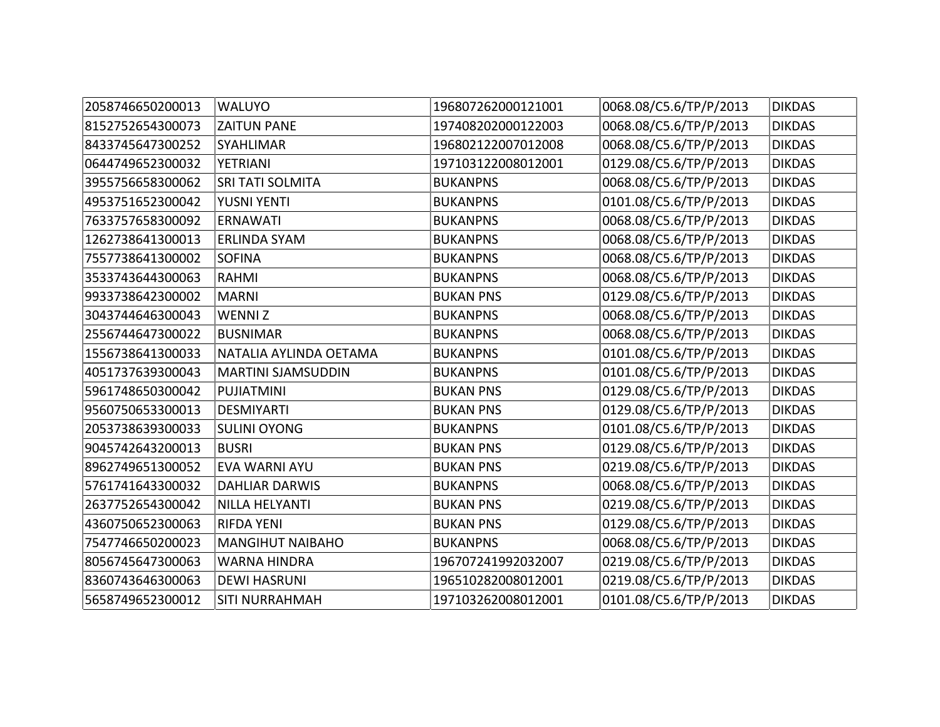| 2058746650200013 | <b>WALUYO</b>             | 196807262000121001 | 0068.08/C5.6/TP/P/2013 | <b>DIKDAS</b> |
|------------------|---------------------------|--------------------|------------------------|---------------|
| 8152752654300073 | <b>ZAITUN PANE</b>        | 197408202000122003 | 0068.08/C5.6/TP/P/2013 | <b>DIKDAS</b> |
| 8433745647300252 | <b>SYAHLIMAR</b>          | 196802122007012008 | 0068.08/C5.6/TP/P/2013 | <b>DIKDAS</b> |
| 0644749652300032 | <b>YETRIANI</b>           | 197103122008012001 | 0129.08/C5.6/TP/P/2013 | <b>DIKDAS</b> |
| 3955756658300062 | <b>SRI TATI SOLMITA</b>   | <b>BUKANPNS</b>    | 0068.08/C5.6/TP/P/2013 | <b>DIKDAS</b> |
| 4953751652300042 | YUSNI YENTI               | <b>BUKANPNS</b>    | 0101.08/C5.6/TP/P/2013 | <b>DIKDAS</b> |
| 7633757658300092 | <b>ERNAWATI</b>           | <b>BUKANPNS</b>    | 0068.08/C5.6/TP/P/2013 | <b>DIKDAS</b> |
| 1262738641300013 | <b>ERLINDA SYAM</b>       | <b>BUKANPNS</b>    | 0068.08/C5.6/TP/P/2013 | <b>DIKDAS</b> |
| 7557738641300002 | <b>SOFINA</b>             | <b>BUKANPNS</b>    | 0068.08/C5.6/TP/P/2013 | <b>DIKDAS</b> |
| 3533743644300063 | <b>RAHMI</b>              | <b>BUKANPNS</b>    | 0068.08/C5.6/TP/P/2013 | <b>DIKDAS</b> |
| 9933738642300002 | <b>MARNI</b>              | <b>BUKAN PNS</b>   | 0129.08/C5.6/TP/P/2013 | <b>DIKDAS</b> |
| 3043744646300043 | <b>WENNIZ</b>             | <b>BUKANPNS</b>    | 0068.08/C5.6/TP/P/2013 | <b>DIKDAS</b> |
| 2556744647300022 | <b>BUSNIMAR</b>           | <b>BUKANPNS</b>    | 0068.08/C5.6/TP/P/2013 | <b>DIKDAS</b> |
| 1556738641300033 | NATALIA AYLINDA OETAMA    | <b>BUKANPNS</b>    | 0101.08/C5.6/TP/P/2013 | <b>DIKDAS</b> |
| 4051737639300043 | <b>MARTINI SJAMSUDDIN</b> | <b>BUKANPNS</b>    | 0101.08/C5.6/TP/P/2013 | <b>DIKDAS</b> |
| 5961748650300042 | <b>PUJIATMINI</b>         | <b>BUKAN PNS</b>   | 0129.08/C5.6/TP/P/2013 | <b>DIKDAS</b> |
| 9560750653300013 | <b>DESMIYARTI</b>         | <b>BUKAN PNS</b>   | 0129.08/C5.6/TP/P/2013 | <b>DIKDAS</b> |
| 2053738639300033 | <b>SULINI OYONG</b>       | <b>BUKANPNS</b>    | 0101.08/C5.6/TP/P/2013 | <b>DIKDAS</b> |
| 9045742643200013 | <b>BUSRI</b>              | <b>BUKAN PNS</b>   | 0129.08/C5.6/TP/P/2013 | <b>DIKDAS</b> |
| 8962749651300052 | EVA WARNI AYU             | <b>BUKAN PNS</b>   | 0219.08/C5.6/TP/P/2013 | <b>DIKDAS</b> |
| 5761741643300032 | <b>DAHLIAR DARWIS</b>     | <b>BUKANPNS</b>    | 0068.08/C5.6/TP/P/2013 | <b>DIKDAS</b> |
| 2637752654300042 | <b>NILLA HELYANTI</b>     | <b>BUKAN PNS</b>   | 0219.08/C5.6/TP/P/2013 | <b>DIKDAS</b> |
| 4360750652300063 | <b>RIFDA YENI</b>         | <b>BUKAN PNS</b>   | 0129.08/C5.6/TP/P/2013 | <b>DIKDAS</b> |
| 7547746650200023 | <b>MANGIHUT NAIBAHO</b>   | <b>BUKANPNS</b>    | 0068.08/C5.6/TP/P/2013 | <b>DIKDAS</b> |
| 8056745647300063 | <b>WARNA HINDRA</b>       | 196707241992032007 | 0219.08/C5.6/TP/P/2013 | <b>DIKDAS</b> |
| 8360743646300063 | <b>DEWI HASRUNI</b>       | 196510282008012001 | 0219.08/C5.6/TP/P/2013 | <b>DIKDAS</b> |
| 5658749652300012 | <b>SITI NURRAHMAH</b>     | 197103262008012001 | 0101.08/C5.6/TP/P/2013 | <b>DIKDAS</b> |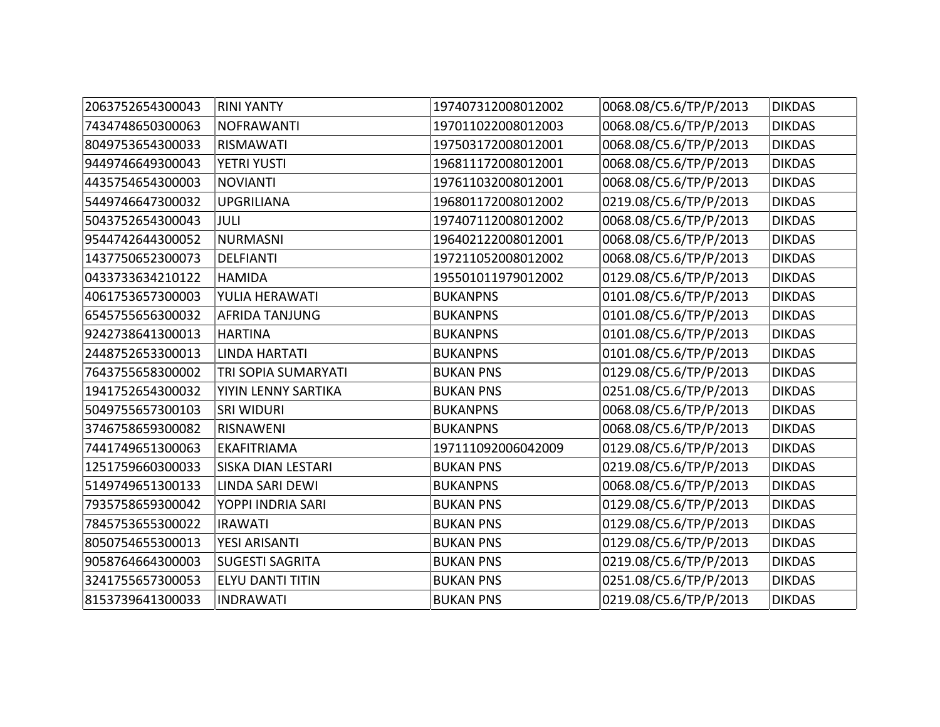| 2063752654300043 | <b>RINI YANTY</b>         | 197407312008012002 | 0068.08/C5.6/TP/P/2013 | <b>DIKDAS</b> |
|------------------|---------------------------|--------------------|------------------------|---------------|
| 7434748650300063 | <b>NOFRAWANTI</b>         | 197011022008012003 | 0068.08/C5.6/TP/P/2013 | <b>DIKDAS</b> |
| 8049753654300033 | <b>RISMAWATI</b>          | 197503172008012001 | 0068.08/C5.6/TP/P/2013 | <b>DIKDAS</b> |
| 9449746649300043 | YETRI YUSTI               | 196811172008012001 | 0068.08/C5.6/TP/P/2013 | <b>DIKDAS</b> |
| 4435754654300003 | <b>NOVIANTI</b>           | 197611032008012001 | 0068.08/C5.6/TP/P/2013 | <b>DIKDAS</b> |
| 5449746647300032 | <b>UPGRILIANA</b>         | 196801172008012002 | 0219.08/C5.6/TP/P/2013 | <b>DIKDAS</b> |
| 5043752654300043 | <b>JULI</b>               | 197407112008012002 | 0068.08/C5.6/TP/P/2013 | <b>DIKDAS</b> |
| 9544742644300052 | <b>NURMASNI</b>           | 196402122008012001 | 0068.08/C5.6/TP/P/2013 | <b>DIKDAS</b> |
| 1437750652300073 | DELFIANTI                 | 197211052008012002 | 0068.08/C5.6/TP/P/2013 | <b>DIKDAS</b> |
| 0433733634210122 | <b>HAMIDA</b>             | 195501011979012002 | 0129.08/C5.6/TP/P/2013 | <b>DIKDAS</b> |
| 4061753657300003 | YULIA HERAWATI            | <b>BUKANPNS</b>    | 0101.08/C5.6/TP/P/2013 | <b>DIKDAS</b> |
| 6545755656300032 | <b>AFRIDA TANJUNG</b>     | <b>BUKANPNS</b>    | 0101.08/C5.6/TP/P/2013 | <b>DIKDAS</b> |
| 9242738641300013 | <b>HARTINA</b>            | <b>BUKANPNS</b>    | 0101.08/C5.6/TP/P/2013 | <b>DIKDAS</b> |
| 2448752653300013 | <b>LINDA HARTATI</b>      | <b>BUKANPNS</b>    | 0101.08/C5.6/TP/P/2013 | <b>DIKDAS</b> |
| 7643755658300002 | TRI SOPIA SUMARYATI       | <b>BUKAN PNS</b>   | 0129.08/C5.6/TP/P/2013 | <b>DIKDAS</b> |
| 1941752654300032 | YIYIN LENNY SARTIKA       | <b>BUKAN PNS</b>   | 0251.08/C5.6/TP/P/2013 | <b>DIKDAS</b> |
| 5049755657300103 | <b>SRI WIDURI</b>         | <b>BUKANPNS</b>    | 0068.08/C5.6/TP/P/2013 | <b>DIKDAS</b> |
| 3746758659300082 | <b>RISNAWENI</b>          | <b>BUKANPNS</b>    | 0068.08/C5.6/TP/P/2013 | <b>DIKDAS</b> |
| 7441749651300063 | <b>EKAFITRIAMA</b>        | 197111092006042009 | 0129.08/C5.6/TP/P/2013 | <b>DIKDAS</b> |
| 1251759660300033 | <b>SISKA DIAN LESTARI</b> | <b>BUKAN PNS</b>   | 0219.08/C5.6/TP/P/2013 | <b>DIKDAS</b> |
| 5149749651300133 | LINDA SARI DEWI           | <b>BUKANPNS</b>    | 0068.08/C5.6/TP/P/2013 | <b>DIKDAS</b> |
| 7935758659300042 | YOPPI INDRIA SARI         | <b>BUKAN PNS</b>   | 0129.08/C5.6/TP/P/2013 | <b>DIKDAS</b> |
| 7845753655300022 | <b>IRAWATI</b>            | <b>BUKAN PNS</b>   | 0129.08/C5.6/TP/P/2013 | <b>DIKDAS</b> |
| 8050754655300013 | YESI ARISANTI             | <b>BUKAN PNS</b>   | 0129.08/C5.6/TP/P/2013 | <b>DIKDAS</b> |
| 9058764664300003 | <b>SUGESTI SAGRITA</b>    | <b>BUKAN PNS</b>   | 0219.08/C5.6/TP/P/2013 | <b>DIKDAS</b> |
| 3241755657300053 | <b>ELYU DANTI TITIN</b>   | <b>BUKAN PNS</b>   | 0251.08/C5.6/TP/P/2013 | <b>DIKDAS</b> |
| 8153739641300033 | <b>INDRAWATI</b>          | <b>BUKAN PNS</b>   | 0219.08/C5.6/TP/P/2013 | <b>DIKDAS</b> |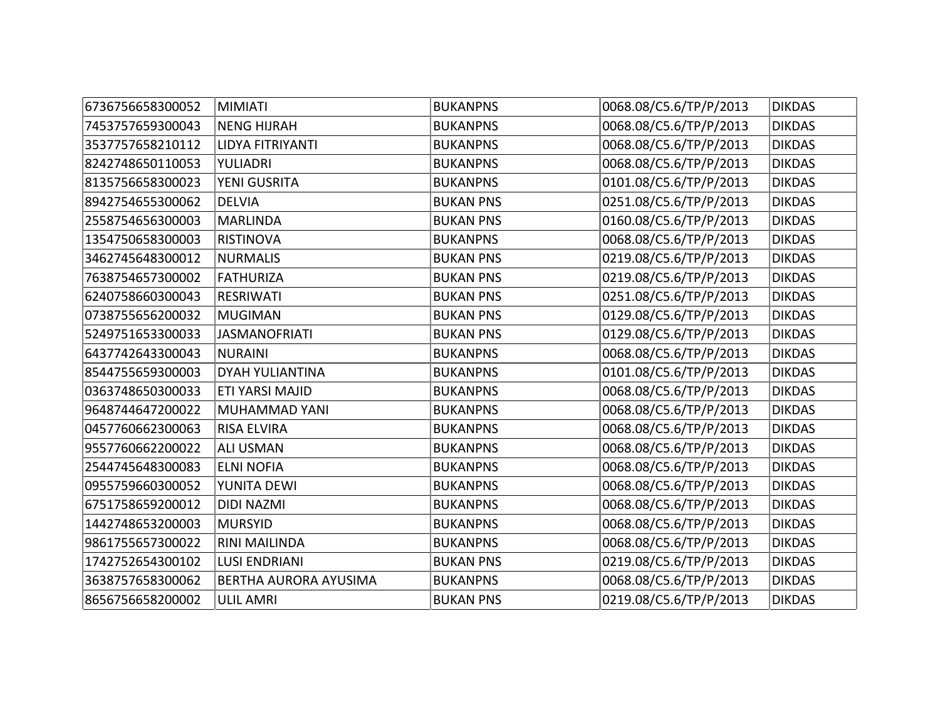| 6736756658300052 | <b>MIMIATI</b>         | <b>BUKANPNS</b>  | 0068.08/C5.6/TP/P/2013 | <b>DIKDAS</b> |
|------------------|------------------------|------------------|------------------------|---------------|
| 7453757659300043 | <b>NENG HIJRAH</b>     | <b>BUKANPNS</b>  | 0068.08/C5.6/TP/P/2013 | <b>DIKDAS</b> |
| 3537757658210112 | LIDYA FITRIYANTI       | <b>BUKANPNS</b>  | 0068.08/C5.6/TP/P/2013 | <b>DIKDAS</b> |
| 8242748650110053 | YULIADRI               | <b>BUKANPNS</b>  | 0068.08/C5.6/TP/P/2013 | <b>DIKDAS</b> |
| 8135756658300023 | YENI GUSRITA           | <b>BUKANPNS</b>  | 0101.08/C5.6/TP/P/2013 | <b>DIKDAS</b> |
| 8942754655300062 | <b>DELVIA</b>          | <b>BUKAN PNS</b> | 0251.08/C5.6/TP/P/2013 | <b>DIKDAS</b> |
| 2558754656300003 | <b>MARLINDA</b>        | <b>BUKAN PNS</b> | 0160.08/C5.6/TP/P/2013 | <b>DIKDAS</b> |
| 1354750658300003 | <b>RISTINOVA</b>       | <b>BUKANPNS</b>  | 0068.08/C5.6/TP/P/2013 | <b>DIKDAS</b> |
| 3462745648300012 | <b>NURMALIS</b>        | <b>BUKAN PNS</b> | 0219.08/C5.6/TP/P/2013 | <b>DIKDAS</b> |
| 7638754657300002 | <b>FATHURIZA</b>       | <b>BUKAN PNS</b> | 0219.08/C5.6/TP/P/2013 | <b>DIKDAS</b> |
| 6240758660300043 | <b>RESRIWATI</b>       | <b>BUKAN PNS</b> | 0251.08/C5.6/TP/P/2013 | <b>DIKDAS</b> |
| 0738755656200032 | <b>MUGIMAN</b>         | <b>BUKAN PNS</b> | 0129.08/C5.6/TP/P/2013 | <b>DIKDAS</b> |
| 5249751653300033 | <b>JASMANOFRIATI</b>   | <b>BUKAN PNS</b> | 0129.08/C5.6/TP/P/2013 | <b>DIKDAS</b> |
| 6437742643300043 | <b>NURAINI</b>         | <b>BUKANPNS</b>  | 0068.08/C5.6/TP/P/2013 | <b>DIKDAS</b> |
| 8544755659300003 | <b>DYAH YULIANTINA</b> | <b>BUKANPNS</b>  | 0101.08/C5.6/TP/P/2013 | <b>DIKDAS</b> |
| 0363748650300033 | ETI YARSI MAJID        | <b>BUKANPNS</b>  | 0068.08/C5.6/TP/P/2013 | <b>DIKDAS</b> |
| 9648744647200022 | MUHAMMAD YANI          | <b>BUKANPNS</b>  | 0068.08/C5.6/TP/P/2013 | <b>DIKDAS</b> |
| 0457760662300063 | <b>RISA ELVIRA</b>     | <b>BUKANPNS</b>  | 0068.08/C5.6/TP/P/2013 | <b>DIKDAS</b> |
| 9557760662200022 | <b>ALI USMAN</b>       | <b>BUKANPNS</b>  | 0068.08/C5.6/TP/P/2013 | <b>DIKDAS</b> |
| 2544745648300083 | <b>ELNI NOFIA</b>      | <b>BUKANPNS</b>  | 0068.08/C5.6/TP/P/2013 | <b>DIKDAS</b> |
| 0955759660300052 | YUNITA DEWI            | <b>BUKANPNS</b>  | 0068.08/C5.6/TP/P/2013 | <b>DIKDAS</b> |
| 6751758659200012 | <b>DIDI NAZMI</b>      | <b>BUKANPNS</b>  | 0068.08/C5.6/TP/P/2013 | <b>DIKDAS</b> |
| 1442748653200003 | <b>MURSYID</b>         | <b>BUKANPNS</b>  | 0068.08/C5.6/TP/P/2013 | <b>DIKDAS</b> |
| 9861755657300022 | <b>RINI MAILINDA</b>   | <b>BUKANPNS</b>  | 0068.08/C5.6/TP/P/2013 | <b>DIKDAS</b> |
| 1742752654300102 | <b>LUSI ENDRIANI</b>   | <b>BUKAN PNS</b> | 0219.08/C5.6/TP/P/2013 | <b>DIKDAS</b> |
| 3638757658300062 | BERTHA AURORA AYUSIMA  | <b>BUKANPNS</b>  | 0068.08/C5.6/TP/P/2013 | <b>DIKDAS</b> |
| 8656756658200002 | <b>ULIL AMRI</b>       | <b>BUKAN PNS</b> | 0219.08/C5.6/TP/P/2013 | <b>DIKDAS</b> |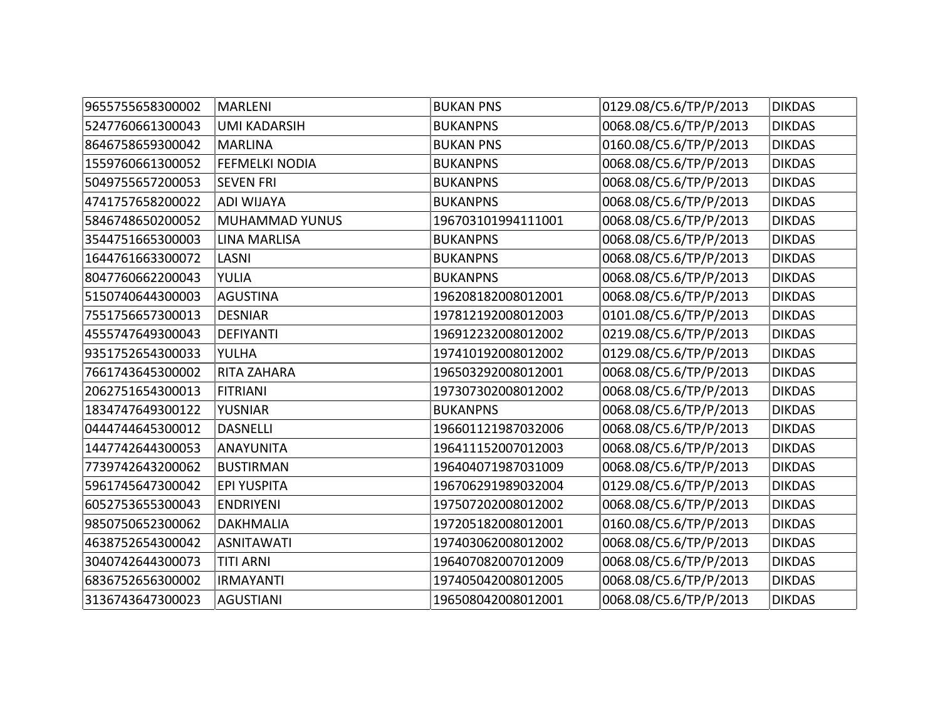| 9655755658300002 | <b>MARLENI</b>        | <b>BUKAN PNS</b>   | 0129.08/C5.6/TP/P/2013 | <b>DIKDAS</b> |
|------------------|-----------------------|--------------------|------------------------|---------------|
| 5247760661300043 | <b>UMI KADARSIH</b>   | <b>BUKANPNS</b>    | 0068.08/C5.6/TP/P/2013 | <b>DIKDAS</b> |
| 8646758659300042 | <b>MARLINA</b>        | <b>BUKAN PNS</b>   | 0160.08/C5.6/TP/P/2013 | <b>DIKDAS</b> |
| 1559760661300052 | <b>FEFMELKI NODIA</b> | <b>BUKANPNS</b>    | 0068.08/C5.6/TP/P/2013 | <b>DIKDAS</b> |
| 5049755657200053 | <b>SEVEN FRI</b>      | <b>BUKANPNS</b>    | 0068.08/C5.6/TP/P/2013 | <b>DIKDAS</b> |
| 4741757658200022 | <b>ADI WIJAYA</b>     | <b>BUKANPNS</b>    | 0068.08/C5.6/TP/P/2013 | <b>DIKDAS</b> |
| 5846748650200052 | <b>MUHAMMAD YUNUS</b> | 196703101994111001 | 0068.08/C5.6/TP/P/2013 | <b>DIKDAS</b> |
| 3544751665300003 | <b>LINA MARLISA</b>   | <b>BUKANPNS</b>    | 0068.08/C5.6/TP/P/2013 | <b>DIKDAS</b> |
| 1644761663300072 | LASNI                 | <b>BUKANPNS</b>    | 0068.08/C5.6/TP/P/2013 | <b>DIKDAS</b> |
| 8047760662200043 | YULIA                 | <b>BUKANPNS</b>    | 0068.08/C5.6/TP/P/2013 | <b>DIKDAS</b> |
| 5150740644300003 | <b>AGUSTINA</b>       | 196208182008012001 | 0068.08/C5.6/TP/P/2013 | <b>DIKDAS</b> |
| 7551756657300013 | <b>DESNIAR</b>        | 197812192008012003 | 0101.08/C5.6/TP/P/2013 | <b>DIKDAS</b> |
| 4555747649300043 | <b>DEFIYANTI</b>      | 196912232008012002 | 0219.08/C5.6/TP/P/2013 | <b>DIKDAS</b> |
| 9351752654300033 | YULHA                 | 197410192008012002 | 0129.08/C5.6/TP/P/2013 | <b>DIKDAS</b> |
| 7661743645300002 | RITA ZAHARA           | 196503292008012001 | 0068.08/C5.6/TP/P/2013 | <b>DIKDAS</b> |
| 2062751654300013 | <b>FITRIANI</b>       | 197307302008012002 | 0068.08/C5.6/TP/P/2013 | <b>DIKDAS</b> |
| 1834747649300122 | <b>YUSNIAR</b>        | <b>BUKANPNS</b>    | 0068.08/C5.6/TP/P/2013 | <b>DIKDAS</b> |
| 0444744645300012 | <b>DASNELLI</b>       | 196601121987032006 | 0068.08/C5.6/TP/P/2013 | <b>DIKDAS</b> |
| 1447742644300053 | <b>ANAYUNITA</b>      | 196411152007012003 | 0068.08/C5.6/TP/P/2013 | <b>DIKDAS</b> |
| 7739742643200062 | <b>BUSTIRMAN</b>      | 196404071987031009 | 0068.08/C5.6/TP/P/2013 | <b>DIKDAS</b> |
| 5961745647300042 | <b>EPI YUSPITA</b>    | 196706291989032004 | 0129.08/C5.6/TP/P/2013 | <b>DIKDAS</b> |
| 6052753655300043 | <b>ENDRIYENI</b>      | 197507202008012002 | 0068.08/C5.6/TP/P/2013 | <b>DIKDAS</b> |
| 9850750652300062 | <b>DAKHMALIA</b>      | 197205182008012001 | 0160.08/C5.6/TP/P/2013 | <b>DIKDAS</b> |
| 4638752654300042 | <b>ASNITAWATI</b>     | 197403062008012002 | 0068.08/C5.6/TP/P/2013 | <b>DIKDAS</b> |
| 3040742644300073 | <b>TITI ARNI</b>      | 196407082007012009 | 0068.08/C5.6/TP/P/2013 | <b>DIKDAS</b> |
| 6836752656300002 | <b>IRMAYANTI</b>      | 197405042008012005 | 0068.08/C5.6/TP/P/2013 | <b>DIKDAS</b> |
| 3136743647300023 | <b>AGUSTIANI</b>      | 196508042008012001 | 0068.08/C5.6/TP/P/2013 | <b>DIKDAS</b> |